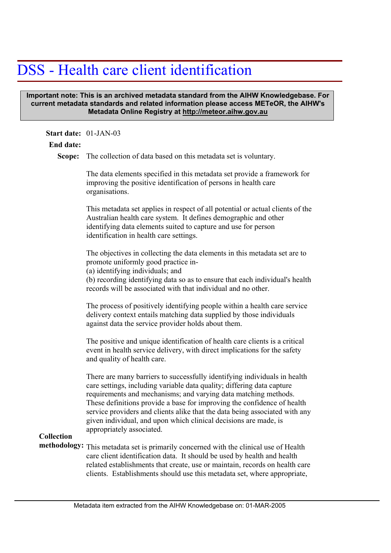# DSS - Health care client identification

### **Important note: This is an archived metadata standard from the AIHW Knowledgebase. For current metadata standards and related information please access METeOR, the AIHW's Metadata Online Registry at http://meteor.aihw.gov.au**

| Start date: 01-JAN-03 |                                                                                                                                                                                                                                                                                                                                                                                                                                                                                   |
|-----------------------|-----------------------------------------------------------------------------------------------------------------------------------------------------------------------------------------------------------------------------------------------------------------------------------------------------------------------------------------------------------------------------------------------------------------------------------------------------------------------------------|
| <b>End date:</b>      |                                                                                                                                                                                                                                                                                                                                                                                                                                                                                   |
| Scope:                | The collection of data based on this metadata set is voluntary.                                                                                                                                                                                                                                                                                                                                                                                                                   |
|                       | The data elements specified in this metadata set provide a framework for<br>improving the positive identification of persons in health care<br>organisations.                                                                                                                                                                                                                                                                                                                     |
|                       | This metadata set applies in respect of all potential or actual clients of the<br>Australian health care system. It defines demographic and other<br>identifying data elements suited to capture and use for person<br>identification in health care settings.                                                                                                                                                                                                                    |
|                       | The objectives in collecting the data elements in this metadata set are to<br>promote uniformly good practice in-<br>(a) identifying individuals; and<br>(b) recording identifying data so as to ensure that each individual's health<br>records will be associated with that individual and no other.                                                                                                                                                                            |
|                       | The process of positively identifying people within a health care service<br>delivery context entails matching data supplied by those individuals<br>against data the service provider holds about them.                                                                                                                                                                                                                                                                          |
|                       | The positive and unique identification of health care clients is a critical<br>event in health service delivery, with direct implications for the safety<br>and quality of health care.                                                                                                                                                                                                                                                                                           |
| <b>Collection</b>     | There are many barriers to successfully identifying individuals in health<br>care settings, including variable data quality; differing data capture<br>requirements and mechanisms; and varying data matching methods.<br>These definitions provide a base for improving the confidence of health<br>service providers and clients alike that the data being associated with any<br>given individual, and upon which clinical decisions are made, is<br>appropriately associated. |
|                       | methodology: This metadata set is primarily concerned with the clinical use of Health<br>care client identification data. It should be used by health and health<br>related establishments that create, use or maintain, records on health care<br>clients. Establishments should use this metadata set, where appropriate,                                                                                                                                                       |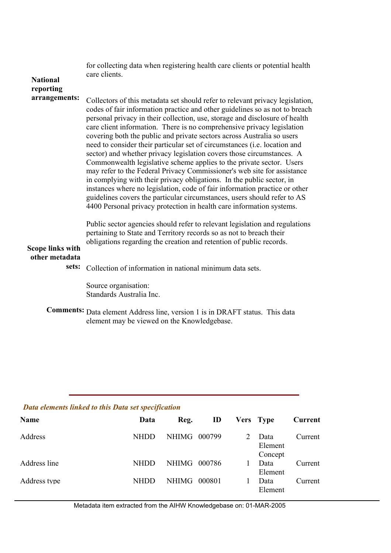for collecting data when registering health care clients or potential health care clients.

#### **National reporting arrangements:**

Collectors of this metadata set should refer to relevant privacy legislation, codes of fair information practice and other guidelines so as not to breach personal privacy in their collection, use, storage and disclosure of health care client information. There is no comprehensive privacy legislation covering both the public and private sectors across Australia so users need to consider their particular set of circumstances (i.e. location and sector) and whether privacy legislation covers those circumstances. A Commonwealth legislative scheme applies to the private sector. Users may refer to the Federal Privacy Commissioner's web site for assistance in complying with their privacy obligations. In the public sector, in instances where no legislation, code of fair information practice or other guidelines covers the particular circumstances, users should refer to AS 4400 Personal privacy protection in health care information systems.

Public sector agencies should refer to relevant legislation and regulations pertaining to State and Territory records so as not to breach their obligations regarding the creation and retention of public records.

## **Scope links with other metadata**

# sets: Collection of information in national minimum data sets.

Source organisation: Standards Australia Inc.

**Comments:** Data element Address line, version 1 is in DRAFT status. This data element may be viewed on the Knowledgebase.

#### *Data elements linked to this Data set specification*

| Name         | Data        | Reg.         | ID     | Vers Type                  | Current |
|--------------|-------------|--------------|--------|----------------------------|---------|
| Address      | <b>NHDD</b> | NHIMG        | 000799 | Data<br>Element<br>Concept | Current |
| Address line | <b>NHDD</b> | <b>NHIMG</b> | 000786 | Data<br>Element            | Current |
| Address type | <b>NHDD</b> | <b>NHIMG</b> | 000801 | Data<br>Element            | Current |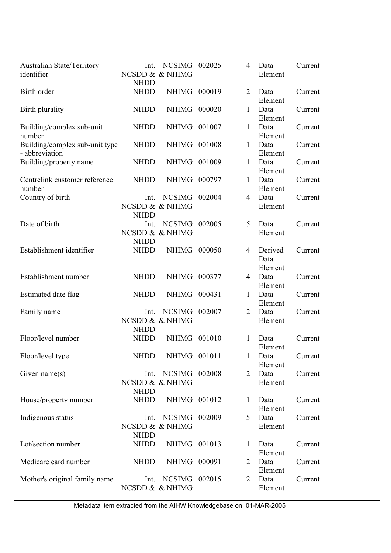| Australian State/Territory<br>identifier         | Int.<br><b>NHDD</b> | NCSIMG 002025<br>NCSDD & & NHIMG        |        | 4              | Data<br>Element            | Current |
|--------------------------------------------------|---------------------|-----------------------------------------|--------|----------------|----------------------------|---------|
| Birth order                                      | <b>NHDD</b>         | NHIMG 000019                            |        | $\overline{2}$ | Data<br>Element            | Current |
| Birth plurality                                  | <b>NHDD</b>         | <b>NHIMG</b>                            | 000020 | $\mathbf{1}$   | Data<br>Element            | Current |
| Building/complex sub-unit<br>number              | <b>NHDD</b>         | NHIMG 001007                            |        | 1              | Data<br>Element            | Current |
| Building/complex sub-unit type<br>- abbreviation | <b>NHDD</b>         | NHIMG 001008                            |        | 1              | Data<br>Element            | Current |
| Building/property name                           | <b>NHDD</b>         | NHIMG 001009                            |        | $\mathbf{1}$   | Data<br>Element            | Current |
| Centrelink customer reference<br>number          | <b>NHDD</b>         | <b>NHIMG</b>                            | 000797 | 1              | Data<br>Element            | Current |
| Country of birth                                 | Int.<br><b>NHDD</b> | <b>NCSIMG</b><br>NCSDD & & NHIMG        | 002004 | $\overline{4}$ | Data<br>Element            | Current |
| Date of birth                                    | Int.<br><b>NHDD</b> | <b>NCSIMG</b><br>NCSDD & & NHIMG        | 002005 | 5              | Data<br>Element            | Current |
| Establishment identifier                         | <b>NHDD</b>         | <b>NHIMG</b>                            | 000050 | $\overline{4}$ | Derived<br>Data<br>Element | Current |
| Establishment number                             | <b>NHDD</b>         | NHIMG 000377                            |        | $\overline{4}$ | Data<br>Element            | Current |
| Estimated date flag                              | <b>NHDD</b>         | NHIMG 000431                            |        | $\mathbf{1}$   | Data<br>Element            | Current |
| Family name                                      | Int.<br><b>NHDD</b> | <b>NCSIMG</b><br>NCSDD & & NHIMG        | 002007 | $\overline{2}$ | Data<br>Element            | Current |
| Floor/level number                               | <b>NHDD</b>         | NHIMG 001010                            |        | 1              | Data<br>Element            | Current |
| Floor/level type                                 |                     | NHDD NHIMG 001011                       |        | $\mathbf{1}$   | Data<br>Element            | Current |
| Given name $(s)$                                 | Int.<br><b>NHDD</b> | <b>NCSIMG 002008</b><br>NCSDD & & NHIMG |        | 2              | Data<br>Element            | Current |
| House/property number                            | <b>NHDD</b>         | NHIMG 001012                            |        | 1              | Data<br>Element            | Current |
| Indigenous status                                | Int.<br><b>NHDD</b> | <b>NCSIMG 002009</b><br>NCSDD & & NHIMG |        | 5              | Data<br>Element            | Current |
| Lot/section number                               | <b>NHDD</b>         | NHIMG 001013                            |        | $\mathbf{1}$   | Data<br>Element            | Current |
| Medicare card number                             | <b>NHDD</b>         | NHIMG 000091                            |        | 2              | Data<br>Element            | Current |
| Mother's original family name                    | Int.                | NCSIMG 002015<br>NCSDD & & NHIMG        |        | 2              | Data<br>Element            | Current |

Metadata item extracted from the AIHW Knowledgebase on: 01-MAR-2005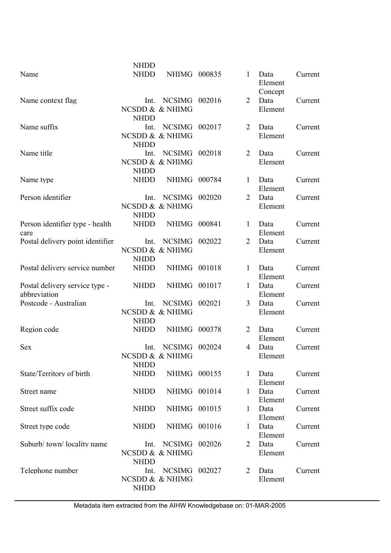|                                          | <b>NHDD</b> |                      |        |                |                            |         |
|------------------------------------------|-------------|----------------------|--------|----------------|----------------------------|---------|
| Name                                     | <b>NHDD</b> | NHIMG 000835         |        | $\mathbf{1}$   | Data<br>Element<br>Concept | Current |
| Name context flag                        | Int.        | NCSIMG 002016        |        | $\overline{2}$ | Data                       | Current |
|                                          |             | NCSDD & & NHIMG      |        |                | Element                    |         |
|                                          | <b>NHDD</b> |                      |        |                |                            |         |
| Name suffix                              | Int.        | <b>NCSIMG</b>        | 002017 | $\overline{2}$ | Data                       | Current |
|                                          |             | NCSDD & & NHIMG      |        |                | Element                    |         |
|                                          | <b>NHDD</b> |                      |        |                |                            |         |
| Name title                               | Int.        | <b>NCSIMG</b>        | 002018 | 2              | Data                       | Current |
|                                          |             | NCSDD & & NHIMG      |        |                | Element                    |         |
|                                          | <b>NHDD</b> |                      |        |                |                            |         |
| Name type                                | <b>NHDD</b> | NHIMG 000784         |        | $\mathbf{1}$   | Data                       | Current |
|                                          |             |                      |        |                | Element                    |         |
| Person identifier                        | Int.        | <b>NCSIMG</b>        | 002020 | $\overline{2}$ | Data                       | Current |
|                                          |             | NCSDD & & NHIMG      |        |                | Element                    |         |
|                                          | <b>NHDD</b> |                      |        |                |                            |         |
| Person identifier type - health          | <b>NHDD</b> | <b>NHIMG</b>         | 000841 | 1              | Data                       | Current |
|                                          |             |                      |        |                | Element                    |         |
| care<br>Postal delivery point identifier | Int.        | <b>NCSIMG</b>        | 002022 | $\overline{2}$ | Data                       | Current |
|                                          |             | NCSDD & & NHIMG      |        |                | Element                    |         |
|                                          |             |                      |        |                |                            |         |
| Postal delivery service number           | <b>NHDD</b> | NHIMG                | 001018 |                |                            |         |
|                                          | <b>NHDD</b> |                      |        | $\mathbf{1}$   | Data                       | Current |
|                                          |             |                      |        |                | Element                    |         |
| Postal delivery service type -           | <b>NHDD</b> | NHIMG 001017         |        | $\mathbf{1}$   | Data                       | Current |
| abbreviation<br>Postcode - Australian    |             |                      | 002021 | 3              | Element                    |         |
|                                          | Int.        | <b>NCSIMG</b>        |        |                | Data                       | Current |
|                                          |             | NCSDD & & NHIMG      |        |                | Element                    |         |
|                                          | <b>NHDD</b> |                      |        |                |                            |         |
| Region code                              | <b>NHDD</b> | NHIMG 000378         |        | 2              | Data                       | Current |
|                                          |             |                      |        |                | Element                    |         |
| <b>Sex</b>                               | Int.        | <b>NCSIMG</b>        | 002024 | 4              | Data                       | Current |
|                                          |             | NCSDD & & NHIMG      |        |                | Element                    |         |
|                                          | <b>NHDD</b> |                      |        |                |                            |         |
| State/Territory of birth                 | <b>NHDD</b> | NHIMG 000155         |        | $\mathbf{1}$   | Data                       | Current |
|                                          |             |                      |        |                | Element                    |         |
| Street name                              | <b>NHDD</b> | NHIMG 001014         |        | $\mathbf{1}$   | Data                       | Current |
|                                          |             |                      |        |                | Element                    |         |
| Street suffix code                       | <b>NHDD</b> | NHIMG 001015         |        | $\mathbf{1}$   | Data                       | Current |
|                                          |             |                      |        |                | Element                    |         |
| Street type code                         | <b>NHDD</b> | NHIMG 001016         |        | 1              | Data                       | Current |
|                                          |             |                      |        |                | Element                    |         |
| Suburb/town/locality name                | Int.        | <b>NCSIMG 002026</b> |        | $\overline{2}$ | Data                       | Current |
|                                          |             | NCSDD & & NHIMG      |        |                | Element                    |         |
|                                          | <b>NHDD</b> |                      |        |                |                            |         |
| Telephone number                         | Int.        | <b>NCSIMG</b>        | 002027 | 2              | Data                       | Current |
|                                          |             | NCSDD & & NHIMG      |        |                | Element                    |         |
|                                          | <b>NHDD</b> |                      |        |                |                            |         |